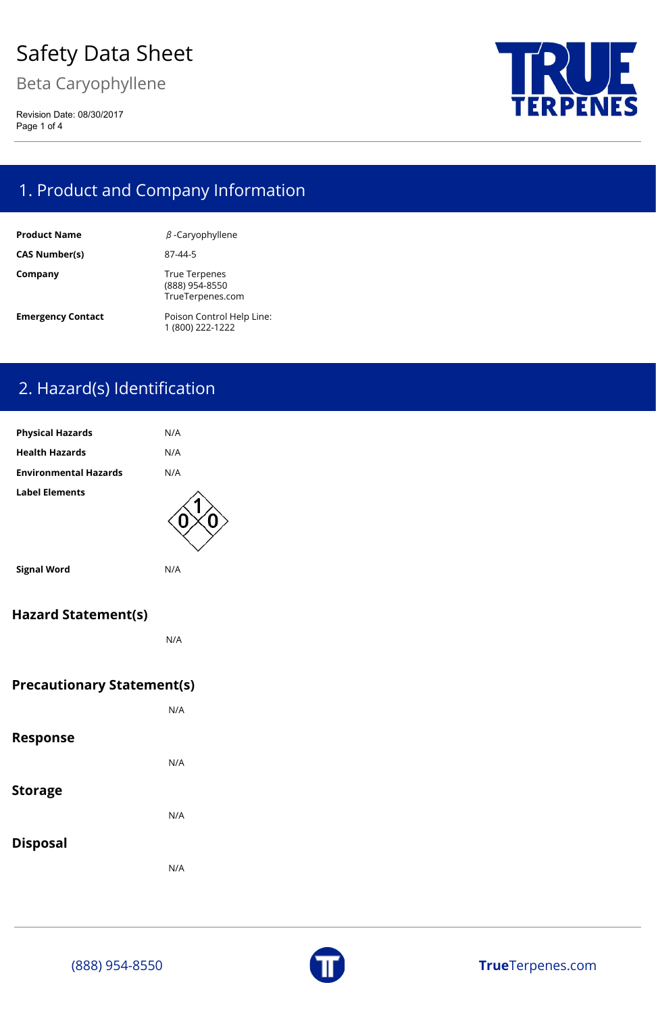Beta Caryophyllene

Revision Date: 08/30/2017 Page 1 of 4



# 1. Product and Company Information

| <b>Product Name</b>      | $\beta$ -Caryophyllene                                     |
|--------------------------|------------------------------------------------------------|
| <b>CAS Number(s)</b>     | 87-44-5                                                    |
| Company                  | <b>True Terpenes</b><br>(888) 954-8550<br>TrueTerpenes.com |
| <b>Emergency Contact</b> | Poison Control Help Line:<br>1 (800) 222-1222              |

# 2. Hazard(s) Identification

| <b>Physical Hazards</b>           | N/A |  |
|-----------------------------------|-----|--|
| <b>Health Hazards</b>             | N/A |  |
| <b>Environmental Hazards</b>      | N/A |  |
| <b>Label Elements</b>             |     |  |
| <b>Signal Word</b>                | N/A |  |
| <b>Hazard Statement(s)</b>        |     |  |
|                                   | N/A |  |
| <b>Precautionary Statement(s)</b> |     |  |
|                                   | N/A |  |

#### **Response**

N/A

**Storage**

N/A



**Disposal**

N/A

(888) 954-8550 **True**Terpenes.com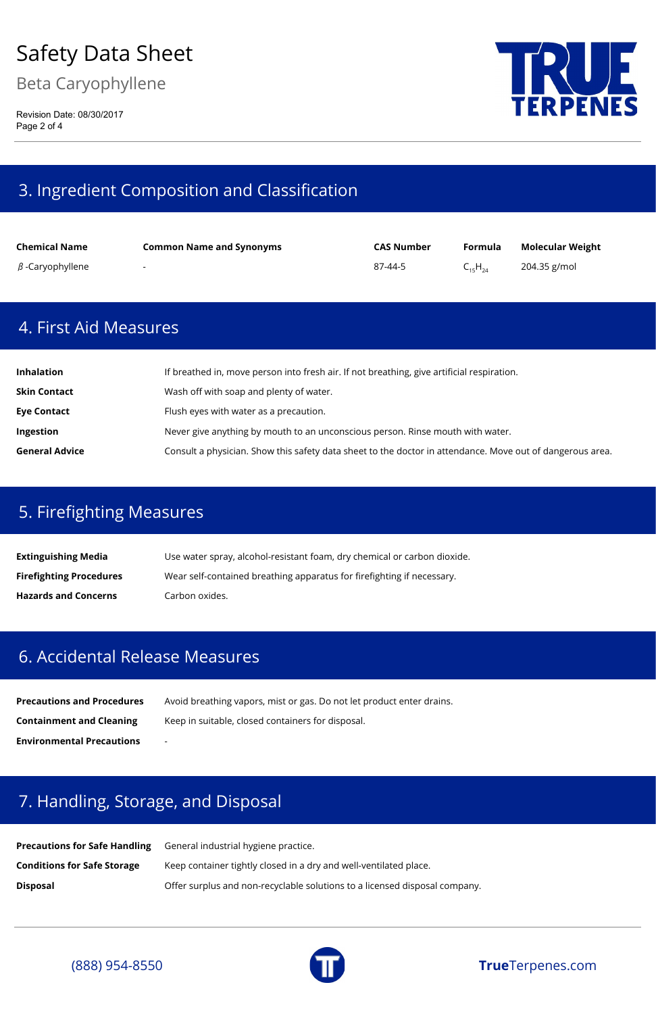Beta Caryophyllene

Revision Date: 08/30/2017 Page 2 of 4



## 3. Ingredient Composition and Classification

| <b>Chemical Name</b>   | <b>Common Name and Synonyms</b> | <b>CAS Number</b> | Formula        | <b>Molecular Weight</b> |
|------------------------|---------------------------------|-------------------|----------------|-------------------------|
| $\beta$ -Caryophyllene | $\sim$                          | 87-44-5           | $C_{15}H_{24}$ | 204.35 g/mol            |

#### 4. First Aid Measures

**Extinguishing Media** Use water spray, alcohol-resistant foam, dry chemical or carbon dioxide. **Firefighting Procedures** Wear self-contained breathing apparatus for firefighting if necessary. **Hazards and Concerns** Carbon oxides.

| <b>Inhalation</b>     | If breathed in, move person into fresh air. If not breathing, give artificial respiration.                |
|-----------------------|-----------------------------------------------------------------------------------------------------------|
| <b>Skin Contact</b>   | Wash off with soap and plenty of water.                                                                   |
| <b>Eye Contact</b>    | Flush eyes with water as a precaution.                                                                    |
| <b>Ingestion</b>      | Never give anything by mouth to an unconscious person. Rinse mouth with water.                            |
| <b>General Advice</b> | Consult a physician. Show this safety data sheet to the doctor in attendance. Move out of dangerous area. |

### 5. Firefighting Measures

#### 6. Accidental Release Measures

| <b>Precautions and Procedures</b> | Avoid breathing vapors, mist or gas. Do not let product enter drains. |
|-----------------------------------|-----------------------------------------------------------------------|
| <b>Containment and Cleaning</b>   | Keep in suitable, closed containers for disposal.                     |
| <b>Environmental Precautions</b>  | $\overline{\phantom{a}}$                                              |

#### 7. Handling, Storage, and Disposal

**Precautions for Safe Handling** General industrial hygiene practice.

**Conditions for Safe Storage** Keep container tightly closed in a dry and well-ventilated place.

**Disposal Disposal Disposal Offer surplus and non-recyclable solutions to a licensed disposal company.** 





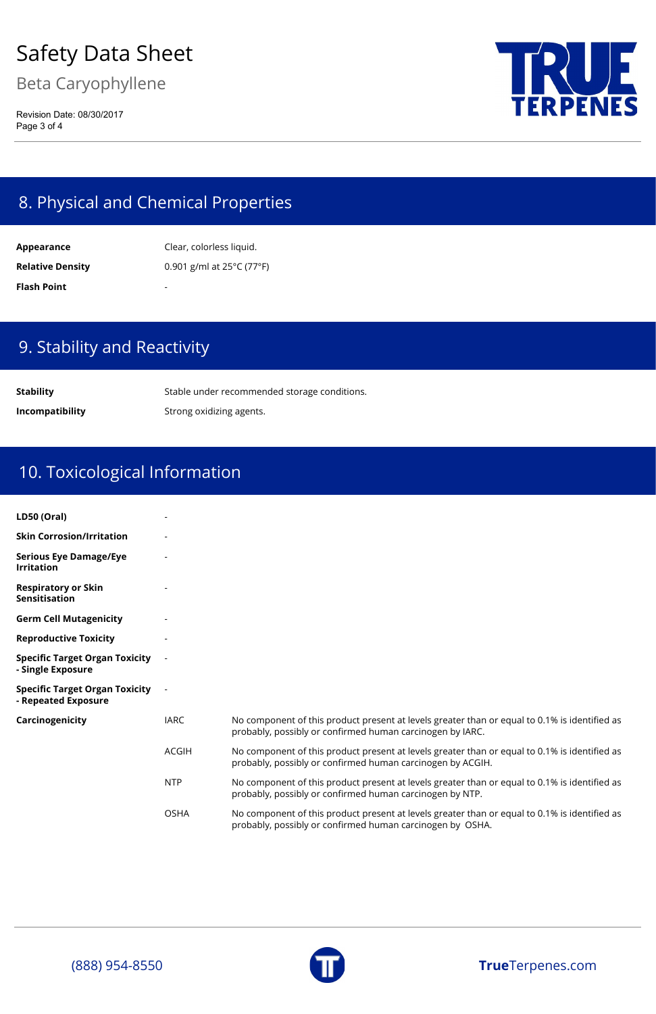Beta Caryophyllene

Revision Date: 08/30/2017 Page 3 of 4



### 8. Physical and Chemical Properties

**Appearance** Clear, colorless liquid. **Relative Density** 0.901 g/ml at 25°C (77°F) **Flash Point** 

### 9. Stability and Reactivity

**Stability** Stable under recommended storage conditions. **Incompatibility** Strong oxidizing agents.

# 10. Toxicological Information

No component of this product present at levels greater than or equal to 0.1% is identified as probably, possibly or confirmed human carcinogen by IARC.

| LD50 (Oral)                                                  |      |
|--------------------------------------------------------------|------|
| <b>Skin Corrosion/Irritation</b>                             |      |
| <b>Serious Eye Damage/Eye</b><br><b>Irritation</b>           |      |
| <b>Respiratory or Skin</b><br><b>Sensitisation</b>           |      |
| <b>Germ Cell Mutagenicity</b>                                |      |
| <b>Reproductive Toxicity</b>                                 |      |
| <b>Specific Target Organ Toxicity</b><br>- Single Exposure   |      |
| <b>Specific Target Organ Toxicity</b><br>- Repeated Exposure |      |
| Carcinogenicity                                              | IARC |

- ACGIH No component of this product present at levels greater than or equal to 0.1% is identified as probably, possibly or confirmed human carcinogen by ACGIH.
- NTP No component of this product present at levels greater than or equal to 0.1% is identified as probably, possibly or confirmed human carcinogen by NTP.
- OSHA No component of this product present at levels greater than or equal to 0.1% is identified as probably, possibly or confirmed human carcinogen by OSHA.